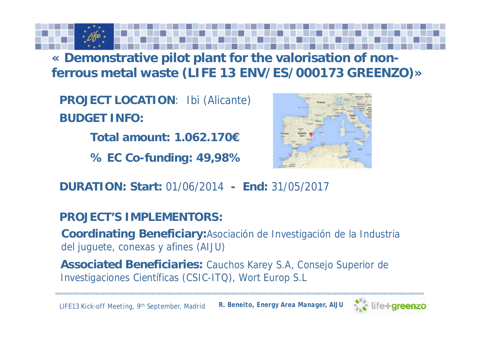**« Demonstrative pilot plant for the valorisation of nonferrous metal waste (LIFE 13 ENV/ES/000173 GREENZO)»**

**PROJECT LOCATION**: Ibi (Alicante) **BUDGET INFO:**

**Total amount: 1.062.170€**

**% EC Co-funding: 49,98%**



**DURATION: Start:** 01/06/2014 **- End:** 31/05/2017

**PROJECT'S IMPLEMENTORS:**

**Coordinating Beneficiary:**Asociación de Investigación de la Industria del juguete, conexas y afines (AIJU)

**Associated Beneficiaries:** Cauchos Karey S.A, Consejo Superior de Investigaciones Científicas (CSIC-ITQ), Wort Europ S.L

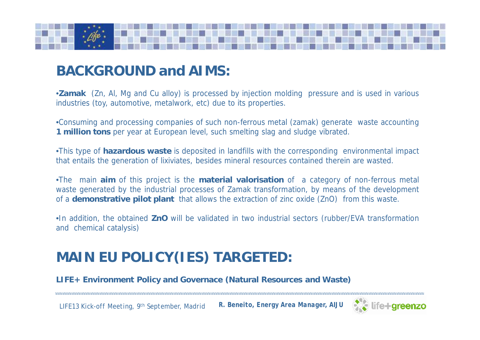

# **BACKGROUND and AIMS:**

•*Zamak (Zn, Al, Mg and Cu alloy) is processed by injection molding pressure and is used in various industries (toy, automotive, metalwork, etc) due to its properties.*

•*Consuming and processing companies of such non-ferrous metal (zamak) generate waste accounting 1 million tons per year at European level, such smelting slag and sludge vibrated.*

•*This type of hazardous waste is deposited in landfills with the corresponding environmental impact that entails the generation of lixiviates, besides mineral resources contained therein are wasted.*

•*The main aim of this project is the material valorisation of a category of non-ferrous metal waste generated by the industrial processes of Zamak transformation, by means of the development of a demonstrative pilot plant that allows the extraction of zinc oxide (ZnO) from this waste.*

•*In addition, the obtained ZnO will be validated in two industrial sectors (rubber/EVA transformation and chemical catalysis)*

# **MAIN EU POLICY(IES) TARGETED:**

*LIFE+ Environment Policy and Governace (Natural Resources and Waste)*